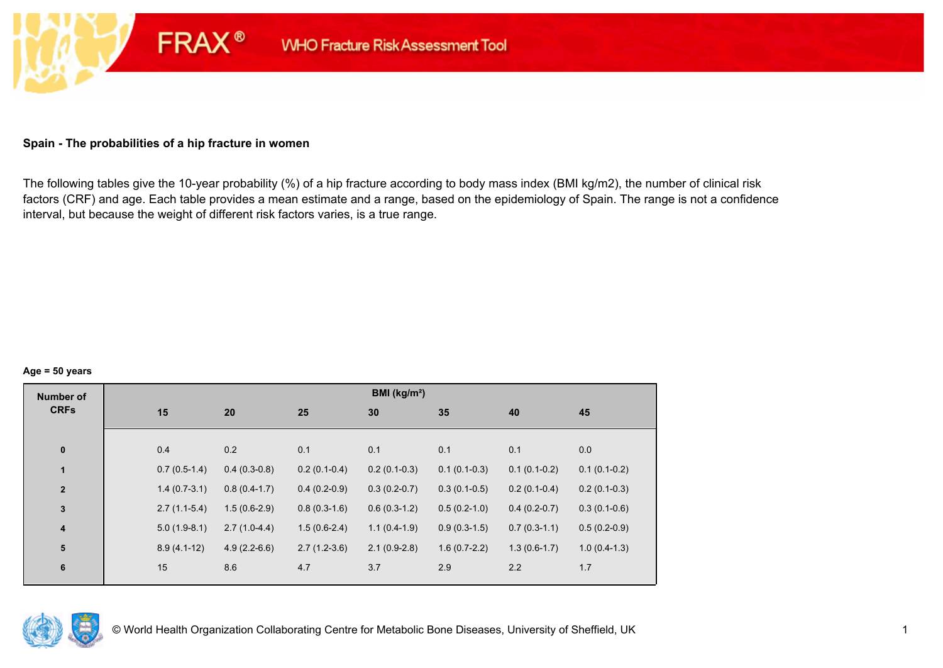## **Spain - The probabilities of a hip fracture in women**

**FRAX®** 

The following tables give the 10-year probability (%) of a hip fracture according to body mass index (BMI kg/m2), the number of clinical risk factors (CRF) and age. Each table provides a mean estimate and a range, based on the epidemiology of Spain. The range is not a confidence interval, but because the weight of different risk factors varies, is a true range.

#### **Age = 50 years**

| <b>Number of</b> |     |                                  |                | BMI (kg/m <sup>2</sup> ) |                |                |                |
|------------------|-----|----------------------------------|----------------|--------------------------|----------------|----------------|----------------|
| <b>CRFs</b>      | 15  | 20                               | 25             | 30                       | 35             | 40             | 45             |
|                  |     |                                  |                |                          |                |                |                |
| $\pmb{0}$        | 0.4 | 0.2                              | 0.1            | 0.1                      | 0.1            | 0.1            | 0.0            |
| $\mathbf{1}$     |     | $0.4(0.3-0.8)$<br>$0.7(0.5-1.4)$ | $0.2(0.1-0.4)$ | $0.2(0.1-0.3)$           | $0.1(0.1-0.3)$ | $0.1(0.1-0.2)$ | $0.1(0.1-0.2)$ |
| $\overline{2}$   |     | $1.4(0.7-3.1)$<br>$0.8(0.4-1.7)$ | $0.4(0.2-0.9)$ | $0.3(0.2-0.7)$           | $0.3(0.1-0.5)$ | $0.2(0.1-0.4)$ | $0.2(0.1-0.3)$ |
| $\mathbf 3$      |     | $1.5(0.6-2.9)$<br>$2.7(1.1-5.4)$ | $0.8(0.3-1.6)$ | $0.6(0.3-1.2)$           | $0.5(0.2-1.0)$ | $0.4(0.2-0.7)$ | $0.3(0.1-0.6)$ |
| 4                |     | $2.7(1.0-4.4)$<br>$5.0(1.9-8.1)$ | $1.5(0.6-2.4)$ | $1.1(0.4-1.9)$           | $0.9(0.3-1.5)$ | $0.7(0.3-1.1)$ | $0.5(0.2-0.9)$ |
| ${\bf 5}$        |     | $8.9(4.1-12)$<br>$4.9(2.2-6.6)$  | $2.7(1.2-3.6)$ | $2.1(0.9-2.8)$           | $1.6(0.7-2.2)$ | $1.3(0.6-1.7)$ | $1.0(0.4-1.3)$ |
| $\bf 6$          | 15  | 8.6                              | 4.7            | 3.7                      | 2.9            | 2.2            | 1.7            |
|                  |     |                                  |                |                          |                |                |                |

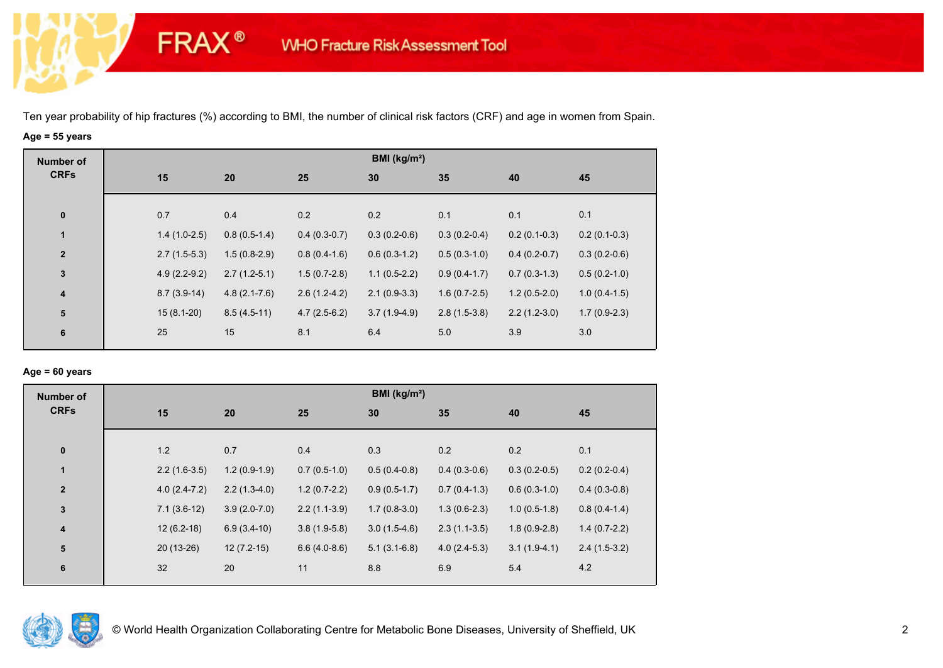**FRAX®** 

# **Age = 55 years**

| <b>Number of</b> |                |                  |                | BMI (kg/m <sup>2</sup> ) |                |                |                |
|------------------|----------------|------------------|----------------|--------------------------|----------------|----------------|----------------|
| <b>CRFs</b>      | 15             | 20               | 25             | 30                       | 35             | 40             | 45             |
|                  |                |                  |                |                          |                |                |                |
| $\pmb{0}$        | 0.7            | 0.4              | 0.2            | 0.2                      | 0.1            | 0.1            | 0.1            |
| 1                | $1.4(1.0-2.5)$ | $0.8(0.5-1.4)$   | $0.4(0.3-0.7)$ | $0.3(0.2-0.6)$           | $0.3(0.2-0.4)$ | $0.2(0.1-0.3)$ | $0.2(0.1-0.3)$ |
| $\mathbf{2}$     | $2.7(1.5-5.3)$ | $1.5(0.8-2.9)$   | $0.8(0.4-1.6)$ | $0.6(0.3-1.2)$           | $0.5(0.3-1.0)$ | $0.4(0.2-0.7)$ | $0.3(0.2-0.6)$ |
| $\mathbf 3$      | $4.9(2.2-9.2)$ | $2.7(1.2-5.1)$   | $1.5(0.7-2.8)$ | $1.1(0.5-2.2)$           | $0.9(0.4-1.7)$ | $0.7(0.3-1.3)$ | $0.5(0.2-1.0)$ |
| $\boldsymbol{4}$ | $8.7(3.9-14)$  | $4.8(2.1 - 7.6)$ | $2.6(1.2-4.2)$ | $2.1(0.9-3.3)$           | $1.6(0.7-2.5)$ | $1.2(0.5-2.0)$ | $1.0(0.4-1.5)$ |
| 5                | $15(8.1-20)$   | $8.5(4.5-11)$    | $4.7(2.5-6.2)$ | $3.7(1.9-4.9)$           | $2.8(1.5-3.8)$ | $2.2(1.2-3.0)$ | $1.7(0.9-2.3)$ |
| 6                | 25             | 15               | 8.1            | 6.4                      | 5.0            | 3.9            | 3.0            |

#### **Age = 60 years**

| <b>Number of</b>        |                |                |                | BMI (kg/m <sup>2</sup> ) |                |                |                |
|-------------------------|----------------|----------------|----------------|--------------------------|----------------|----------------|----------------|
| <b>CRFs</b>             | 15             | 20             | 25             | 30                       | 35             | 40             | 45             |
| $\mathbf 0$             | 1.2            | 0.7            | 0.4            | 0.3                      | 0.2            | 0.2            | 0.1            |
| 1                       | $2.2(1.6-3.5)$ | $1.2(0.9-1.9)$ | $0.7(0.5-1.0)$ | $0.5(0.4-0.8)$           | $0.4(0.3-0.6)$ | $0.3(0.2-0.5)$ | $0.2(0.2-0.4)$ |
| $\overline{\mathbf{2}}$ | $4.0(2.4-7.2)$ | $2.2(1.3-4.0)$ | $1.2(0.7-2.2)$ | $0.9(0.5-1.7)$           | $0.7(0.4-1.3)$ | $0.6(0.3-1.0)$ | $0.4(0.3-0.8)$ |
| $\mathbf{3}$            | $7.1(3.6-12)$  | $3.9(2.0-7.0)$ | $2.2(1.1-3.9)$ | $1.7(0.8-3.0)$           | $1.3(0.6-2.3)$ | $1.0(0.5-1.8)$ | $0.8(0.4-1.4)$ |
| $\overline{\mathbf{4}}$ | $12(6.2-18)$   | $6.9(3.4-10)$  | $3.8(1.9-5.8)$ | $3.0(1.5-4.6)$           | $2.3(1.1-3.5)$ | $1.8(0.9-2.8)$ | $1.4(0.7-2.2)$ |
| 5                       | $20(13-26)$    | $12(7.2-15)$   | $6.6(4.0-8.6)$ | $5.1(3.1-6.8)$           | $4.0(2.4-5.3)$ | $3.1(1.9-4.1)$ | $2.4(1.5-3.2)$ |
| 6                       | 32             | 20             | 11             | 8.8                      | 6.9            | 5.4            | 4.2            |

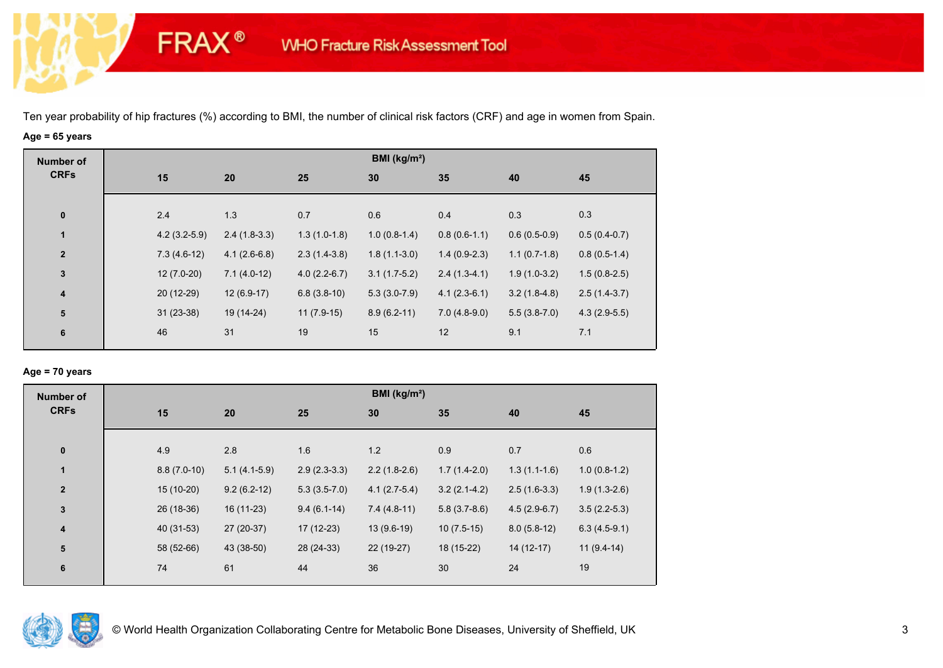**FRAX®** 

# **Age = 65 years**

| <b>Number of</b> |                |                |                | BMI ( $kg/m2$ ) |                |                |                |
|------------------|----------------|----------------|----------------|-----------------|----------------|----------------|----------------|
| <b>CRFs</b>      | 15             | 20             | 25             | 30              | 35             | 40             | 45             |
|                  |                |                |                |                 |                |                |                |
| $\bf{0}$         | 2.4            | 1.3            | 0.7            | 0.6             | 0.4            | 0.3            | 0.3            |
| 1                | $4.2(3.2-5.9)$ | $2.4(1.8-3.3)$ | $1.3(1.0-1.8)$ | $1.0(0.8-1.4)$  | $0.8(0.6-1.1)$ | $0.6(0.5-0.9)$ | $0.5(0.4-0.7)$ |
| $\overline{2}$   | $7.3(4.6-12)$  | $4.1(2.6-6.8)$ | $2.3(1.4-3.8)$ | $1.8(1.1-3.0)$  | $1.4(0.9-2.3)$ | $1.1(0.7-1.8)$ | $0.8(0.5-1.4)$ |
| $\mathbf{3}$     | $12(7.0-20)$   | $7.1(4.0-12)$  | $4.0(2.2-6.7)$ | $3.1(1.7-5.2)$  | $2.4(1.3-4.1)$ | $1.9(1.0-3.2)$ | $1.5(0.8-2.5)$ |
| $\boldsymbol{4}$ | 20 (12-29)     | $12(6.9-17)$   | $6.8(3.8-10)$  | $5.3(3.0-7.9)$  | $4.1(2.3-6.1)$ | $3.2(1.8-4.8)$ | $2.5(1.4-3.7)$ |
| ${\bf 5}$        | $31(23-38)$    | 19 (14-24)     | $11(7.9-15)$   | $8.9(6.2-11)$   | $7.0(4.8-9.0)$ | $5.5(3.8-7.0)$ | $4.3(2.9-5.5)$ |
| 6                | 46             | 31             | 19             | 15              | 12             | 9.1            | 7.1            |
|                  |                |                |                |                 |                |                |                |

## **Age = 70 years**

| <b>Number of</b>        |               |                |                | BMI (kg/m <sup>2</sup> ) |                |                |                |
|-------------------------|---------------|----------------|----------------|--------------------------|----------------|----------------|----------------|
| <b>CRFs</b>             | 15            | 20             | 25             | 30                       | 35             | 40             | 45             |
|                         |               |                |                |                          |                |                |                |
| $\pmb{0}$               | 4.9           | 2.8            | 1.6            | 1.2                      | 0.9            | 0.7            | 0.6            |
| $\mathbf{1}$            | $8.8(7.0-10)$ | $5.1(4.1-5.9)$ | $2.9(2.3-3.3)$ | $2.2(1.8-2.6)$           | $1.7(1.4-2.0)$ | $1.3(1.1-1.6)$ | $1.0(0.8-1.2)$ |
| $\overline{\mathbf{2}}$ | $15(10-20)$   | $9.2(6.2-12)$  | $5.3(3.5-7.0)$ | $4.1(2.7-5.4)$           | $3.2(2.1-4.2)$ | $2.5(1.6-3.3)$ | $1.9(1.3-2.6)$ |
| $\mathbf 3$             | 26 (18-36)    | 16 (11-23)     | $9.4(6.1-14)$  | $7.4(4.8-11)$            | $5.8(3.7-8.6)$ | $4.5(2.9-6.7)$ | $3.5(2.2-5.3)$ |
| $\overline{\mathbf{4}}$ | 40 (31-53)    | 27 (20-37)     | $17(12-23)$    | $13(9.6-19)$             | $10(7.5-15)$   | $8.0(5.8-12)$  | $6.3(4.5-9.1)$ |
| 5                       | 58 (52-66)    | 43 (38-50)     | 28 (24-33)     | 22 (19-27)               | 18 (15-22)     | $14(12-17)$    | $11(9.4-14)$   |
| 6                       | 74            | 61             | 44             | 36                       | 30             | 24             | 19             |
|                         |               |                |                |                          |                |                |                |

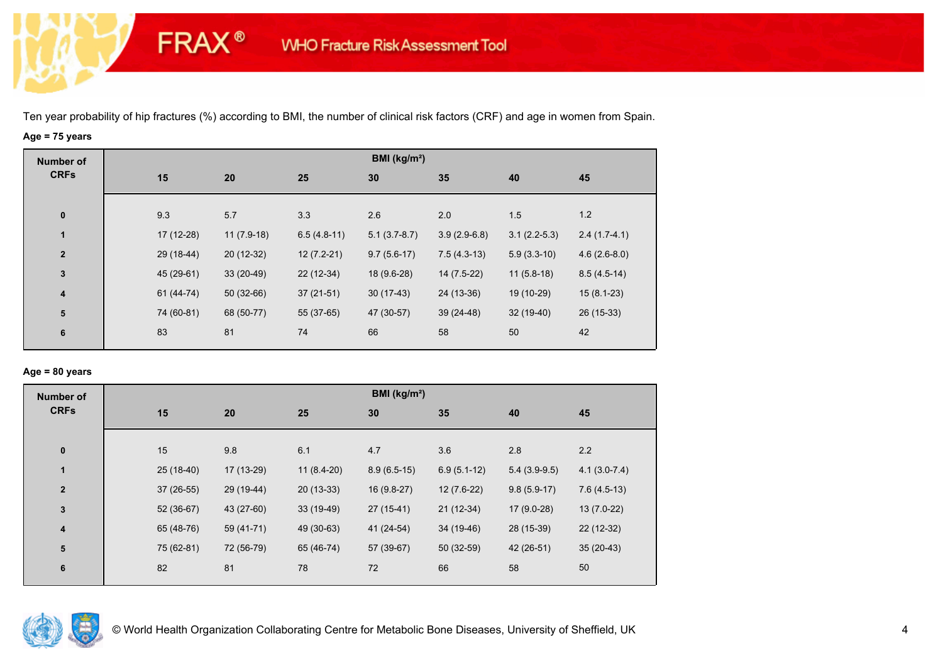**FRAX®** 

# **Age = 75 years**

| <b>Number of</b>        |            |              |               | BMI ( $kg/m2$ ) |                |                |                |
|-------------------------|------------|--------------|---------------|-----------------|----------------|----------------|----------------|
| <b>CRFs</b>             | 15         | 20           | 25            | 30              | 35             | 40             | 45             |
|                         |            |              |               |                 |                |                |                |
| $\pmb{0}$               | 9.3        | 5.7          | 3.3           | 2.6             | 2.0            | 1.5            | 1.2            |
| $\mathbf{1}$            | 17 (12-28) | $11(7.9-18)$ | $6.5(4.8-11)$ | $5.1(3.7-8.7)$  | $3.9(2.9-6.8)$ | $3.1(2.2-5.3)$ | $2.4(1.7-4.1)$ |
| $\overline{2}$          | 29 (18-44) | $20(12-32)$  | $12(7.2-21)$  | $9.7(5.6-17)$   | $7.5(4.3-13)$  | $5.9(3.3-10)$  | $4.6(2.6-8.0)$ |
| $\mathbf{3}$            | 45 (29-61) | $33(20-49)$  | 22 (12-34)    | 18 (9.6-28)     | 14 (7.5-22)    | $11(5.8-18)$   | $8.5(4.5-14)$  |
| $\overline{\mathbf{4}}$ | 61 (44-74) | $50(32-66)$  | $37(21-51)$   | $30(17-43)$     | 24 (13-36)     | 19 (10-29)     | $15(8.1-23)$   |
| ${\bf 5}$               | 74 (60-81) | 68 (50-77)   | 55 (37-65)    | 47 (30-57)      | $39(24-48)$    | $32(19-40)$    | $26(15-33)$    |
| 6                       | 83         | 81           | 74            | 66              | 58             | 50             | 42             |
|                         |            |              |               |                 |                |                |                |

## **Age = 80 years**

| <b>Number of</b> |    |             |            |              | BMI ( $kg/m2$ ) |               |                |                |
|------------------|----|-------------|------------|--------------|-----------------|---------------|----------------|----------------|
| <b>CRFs</b>      | 15 |             | 20         | 25           | 30              | 35            | 40             | 45             |
| $\pmb{0}$        | 15 |             | 9.8        | 6.1          | 4.7             | 3.6           | 2.8            | 2.2            |
| $\mathbf{1}$     |    | 25 (18-40)  | 17 (13-29) | $11(8.4-20)$ | $8.9(6.5-15)$   | $6.9(5.1-12)$ | $5.4(3.9-9.5)$ | $4.1(3.0-7.4)$ |
| $\mathbf{2}$     |    | $37(26-55)$ | 29 (19-44) | $20(13-33)$  | 16 (9.8-27)     | $12(7.6-22)$  | $9.8(5.9-17)$  | $7.6(4.5-13)$  |
| 3                |    | $52(36-67)$ | 43 (27-60) | $33(19-49)$  | $27(15-41)$     | $21(12-34)$   | 17 (9.0-28)    | $13(7.0-22)$   |
| 4                |    | 65 (48-76)  | 59 (41-71) | 49 (30-63)   | 41 (24-54)      | 34 (19-46)    | 28 (15-39)     | 22 (12-32)     |
| ${\bf 5}$        |    | 75 (62-81)  | 72 (56-79) | 65 (46-74)   | 57 (39-67)      | $50(32-59)$   | 42 (26-51)     | $35(20-43)$    |
| 6                | 82 |             | 81         | 78           | 72              | 66            | 58             | 50             |
|                  |    |             |            |              |                 |               |                |                |